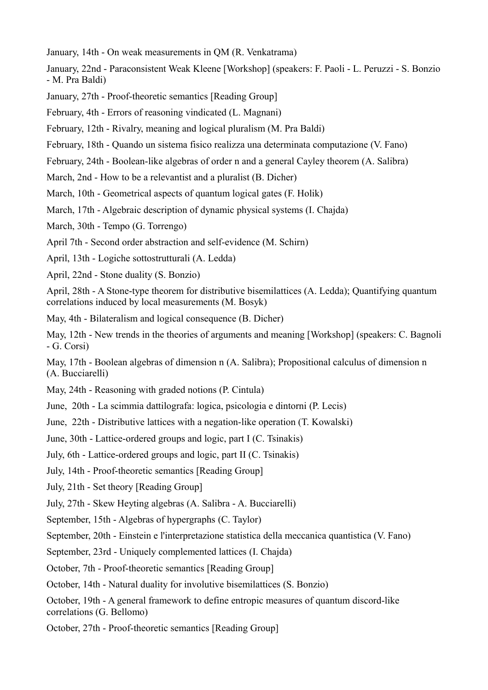January, 14th - On weak measurements in QM (R. Venkatrama)

January, 22nd - Paraconsistent Weak Kleene [Workshop] (speakers: F. Paoli - L. Peruzzi - S. Bonzio - M. Pra Baldi)

January, 27th - Proof-theoretic semantics [Reading Group]

February, 4th - Errors of reasoning vindicated (L. Magnani)

February, 12th - Rivalry, meaning and logical pluralism (M. Pra Baldi)

February, 18th - Quando un sistema fisico realizza una determinata computazione (V. Fano)

February, 24th - Boolean-like algebras of order n and a general Cayley theorem (A. Salibra)

March, 2nd - How to be a relevantist and a pluralist (B. Dicher)

March, 10th - Geometrical aspects of quantum logical gates (F. Holik)

March, 17th - Algebraic description of dynamic physical systems (I. Chajda)

March, 30th - Tempo (G. Torrengo)

April 7th - Second order abstraction and self-evidence (M. Schirn)

April, 13th - Logiche sottostrutturali (A. Ledda)

April, 22nd - Stone duality (S. Bonzio)

April, 28th - A Stone-type theorem for distributive bisemilattices (A. Ledda); Quantifying quantum correlations induced by local measurements (M. Bosyk)

May, 4th - Bilateralism and logical consequence (B. Dicher)

May, 12th - New trends in the theories of arguments and meaning [Workshop] (speakers: C. Bagnoli - G. Corsi)

May, 17th - Boolean algebras of dimension n (A. Salibra); Propositional calculus of dimension n (A. Bucciarelli)

May, 24th - Reasoning with graded notions (P. Cintula)

June, 20th - La scimmia dattilografa: logica, psicologia e dintorni (P. Lecis)

June, 22th - Distributive lattices with a negation-like operation (T. Kowalski)

June, 30th - Lattice-ordered groups and logic, part I (C. Tsinakis)

July, 6th - Lattice-ordered groups and logic, part II (C. Tsinakis)

July, 14th - Proof-theoretic semantics [Reading Group]

July, 21th - Set theory [Reading Group]

July, 27th - Skew Heyting algebras (A. Salibra - A. Bucciarelli)

September, 15th - Algebras of hypergraphs (C. Taylor)

September, 20th - Einstein e l'interpretazione statistica della meccanica quantistica (V. Fano)

September, 23rd - Uniquely complemented lattices (I. Chajda)

October, 7th - Proof-theoretic semantics [Reading Group]

October, 14th - Natural duality for involutive bisemilattices (S. Bonzio)

October, 19th - A general framework to define entropic measures of quantum discord-like correlations (G. Bellomo)

October, 27th - Proof-theoretic semantics [Reading Group]